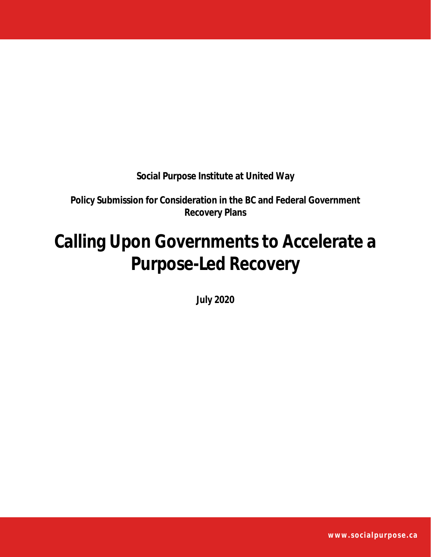**Social Purpose Institute at United Way**

**Policy Submission for Consideration in the BC and Federal Government Recovery Plans**

# **Calling Upon Governments to Accelerate a Purpose-Led Recovery**

**July 2020**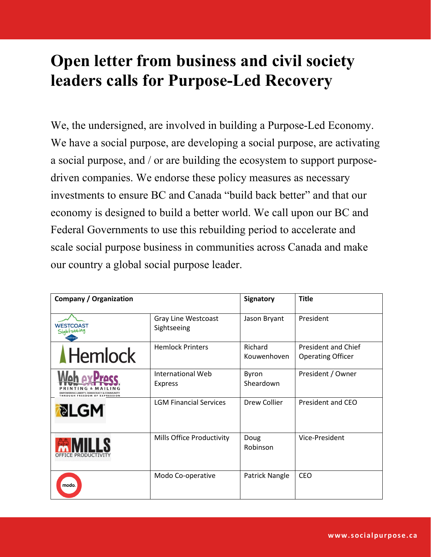## **Open letter from business and civil society leaders calls for Purpose-Led Recovery**

We, the undersigned, are involved in building a Purpose-Led Economy. We have a social purpose, are developing a social purpose, are activating a social purpose, and / or are building the ecosystem to support purposedriven companies. We endorse these policy measures as necessary investments to ensure BC and Canada "build back better" and that our economy is designed to build a better world. We call upon our BC and Federal Governments to use this rebuilding period to accelerate and scale social purpose business in communities across Canada and make our country a global social purpose leader.

| <b>Company / Organization</b>                                                                                   |                                           | Signatory              | <b>Title</b>                                           |
|-----------------------------------------------------------------------------------------------------------------|-------------------------------------------|------------------------|--------------------------------------------------------|
| <b>WESTCOAST</b><br>Sightseeing                                                                                 | <b>Gray Line Westcoast</b><br>Sightseeing | Jason Bryant           | President                                              |
| <b>Hemlock</b>                                                                                                  | <b>Hemlock Printers</b>                   | Richard<br>Kouwenhoven | <b>President and Chief</b><br><b>Operating Officer</b> |
| Pracc<br>INTING & MAILIN<br><b>EMPOWERING LIBERTY, DEMOCRACY &amp; COMMUNIT</b><br>THROUGH FREEDOM OF EXPRESSIO | International Web<br><b>Express</b>       | Byron<br>Sheardown     | President / Owner                                      |
| <b>PLGM</b>                                                                                                     | <b>LGM Financial Services</b>             | Drew Collier           | President and CEO                                      |
| DEFICE PRODUCTIVI                                                                                               | Mills Office Productivity                 | Doug<br>Robinson       | Vice-President                                         |
| modo.                                                                                                           | Modo Co-operative                         | Patrick Nangle         | <b>CEO</b>                                             |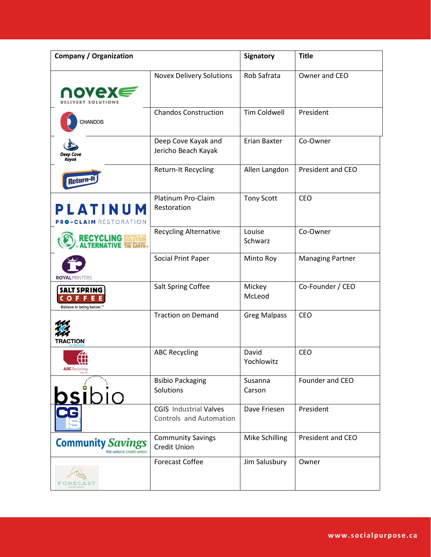| <b>Company / Organization</b>                                        |                                                          | Signatory           | <b>Title</b>            |
|----------------------------------------------------------------------|----------------------------------------------------------|---------------------|-------------------------|
| ∩ovex∈                                                               | <b>Novex Delivery Solutions</b>                          | Rob Safrata         | Owner and CEO           |
| CHANDOS                                                              | <b>Chandos Construction</b>                              | <b>Tim Coldwell</b> | President               |
| <b>Deep Cove</b><br>Kayak                                            | Deep Cove Kayak and<br>Jericho Beach Kayak               | <b>Erian Baxter</b> | Co-Owner                |
| <b>Return-</b>                                                       | Return-It Recycling                                      | Allen Langdon       | President and CEO       |
| PLATINUM<br>PRO-CLAIM RESTORATION                                    | Platinum Pro-Claim<br>Restoration                        | <b>Tony Scott</b>   | CEO                     |
| ECYCLING 50                                                          | <b>Recycling Alternative</b>                             | Louise<br>Schwarz   | Co-Owner                |
| <b>ROYALPRINTERS</b>                                                 | Social Print Paper                                       | Minto Roy           | <b>Managing Partner</b> |
| <b>SALT SPRING</b><br>COFFE<br>Believe in being better. <sup>™</sup> | Salt Spring Coffee                                       | Mickey<br>McLeod    | Co-Founder / CEO        |
| <b>TRACTION</b> `                                                    | <b>Traction on Demand</b>                                | <b>Greg Malpass</b> | CEO                     |
| <b>ABC</b> Recycling<br>SINCE 1982                                   | <b>ABC Recycling</b>                                     | David<br>Yochlowitz | <b>CEO</b>              |
| SIDIO                                                                | <b>Bsibio Packaging</b><br>Solutions                     | Susanna<br>Carson   | Founder and CEO         |
|                                                                      | <b>CGIS</b> Industrial Valves<br>Controls and Automation | Dave Friesen        | President               |
| <b>Community Savings</b><br>the unions' credit union                 | <b>Community Savings</b><br>Credit Union                 | Mike Schilling      | President and CEO       |
|                                                                      | <b>Forecast Coffee</b>                                   | Jim Salusbury       | Owner                   |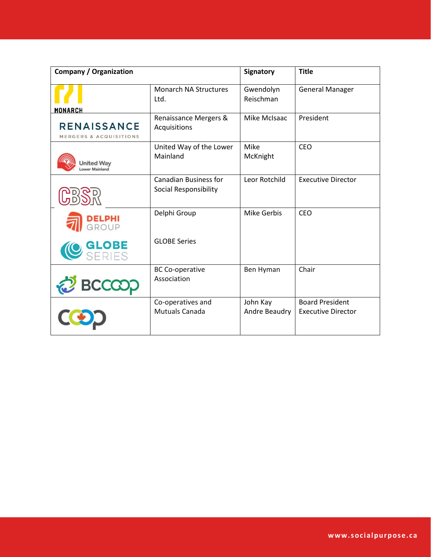| <b>Company / Organization</b>                |                                                              | Signatory                 | <b>Title</b>                                        |
|----------------------------------------------|--------------------------------------------------------------|---------------------------|-----------------------------------------------------|
| <b>MONARCH</b>                               | <b>Monarch NA Structures</b><br>Ltd.                         | Gwendolyn<br>Reischman    | <b>General Manager</b>                              |
| <b>RENAISSANCE</b><br>MERGERS & ACQUISITIONS | Renaissance Mergers &<br>Acquisitions                        | Mike McIsaac              | President                                           |
| United Way<br>ower Mainland                  | United Way of the Lower<br>Mainland                          | Mike<br>McKnight          | <b>CEO</b>                                          |
|                                              | <b>Canadian Business for</b><br><b>Social Responsibility</b> | Leor Rotchild             | <b>Executive Director</b>                           |
| <b>DELPHI</b><br>Group                       | Delphi Group                                                 | <b>Mike Gerbis</b>        | <b>CEO</b>                                          |
|                                              | <b>GLOBE Series</b>                                          |                           |                                                     |
| BCCCO.                                       | <b>BC Co-operative</b><br>Association                        | Ben Hyman                 | Chair                                               |
|                                              | Co-operatives and<br><b>Mutuals Canada</b>                   | John Kay<br>Andre Beaudry | <b>Board President</b><br><b>Executive Director</b> |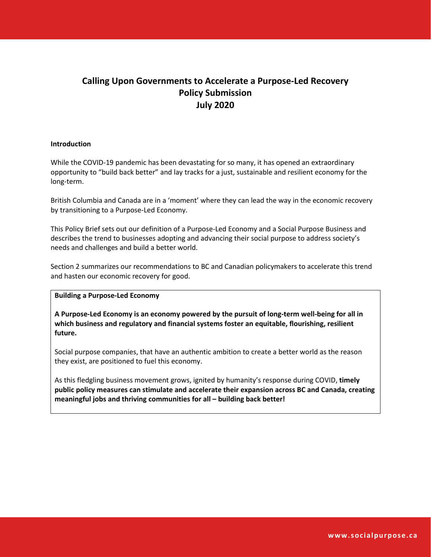### **Calling Upon Governments to Accelerate a Purpose-Led Recovery Policy Submission July 2020**

#### **Introduction**

While the COVID-19 pandemic has been devastating for so many, it has opened an extraordinary opportunity to "build back better" and lay tracks for a just, sustainable and resilient economy for the long-term.

British Columbia and Canada are in a 'moment' where they can lead the way in the economic recovery by transitioning to a Purpose-Led Economy.

This Policy Brief sets out our definition of a Purpose-Led Economy and a Social Purpose Business and describes the trend to businesses adopting and advancing their social purpose to address society's needs and challenges and build a better world.

Section 2 summarizes our recommendations to BC and Canadian policymakers to accelerate this trend and hasten our economic recovery for good.

#### **Building a Purpose-Led Economy**

**A Purpose-Led Economy is an economy powered by the pursuit of long-term well-being for all in which business and regulatory and financial systems foster an equitable, flourishing, resilient future.** 

Social purpose companies, that have an authentic ambition to create a better world as the reason they exist, are positioned to fuel this economy.

As this fledgling business movement grows, ignited by humanity's response during COVID, **timely public policy measures can stimulate and accelerate their expansion across BC and Canada, creating meaningful jobs and thriving communities for all – building back better!**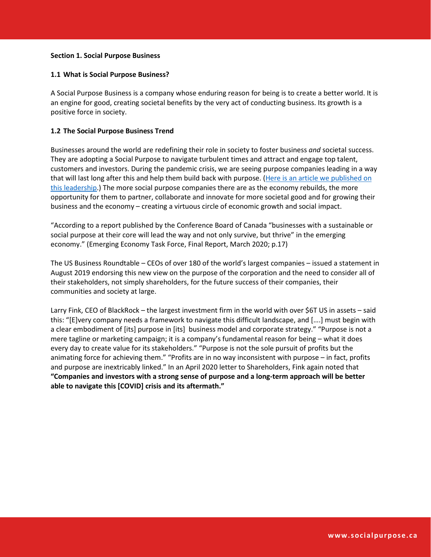#### **Section 1. Social Purpose Business**

#### **1.1 What is Social Purpose Business?**

A Social Purpose Business is a company whose enduring reason for being is to create a better world. It is an engine for good, creating societal benefits by the very act of conducting business. Its growth is a positive force in society.

#### **1.2 The Social Purpose Business Trend**

Businesses around the world are redefining their role in society to foster business *and* societal success. They are adopting a Social Purpose to navigate turbulent times and attract and engage top talent, customers and investors. During the pandemic crisis, we are seeing purpose companies leading in a way that will last long after this and help them build back with purpose. (Here is an article we published on this leadership.) The more social purpose companies there are as the economy rebuilds, the more opportunity for them to partner, collaborate and innovate for more societal good and for growing their business and the economy – creating a virtuous circle of economic growth and social impact.

"According to a report published by the Conference Board of Canada "businesses with a sustainable or social purpose at their core will lead the way and not only survive, but thrive" in the emerging economy." (Emerging Economy Task Force, Final Report, March 2020; p.17)

The US Business Roundtable – CEOs of over 180 of the world's largest companies – issued a statement in August 2019 endorsing this new view on the purpose of the corporation and the need to consider all of their stakeholders, not simply shareholders, for the future success of their companies, their communities and society at large.

Larry Fink, CEO of BlackRock – the largest investment firm in the world with over \$6T US in assets – said this: "[E]very company needs a framework to navigate this difficult landscape, and [….] must begin with a clear embodiment of [its] purpose in [its] business model and corporate strategy." "Purpose is not a mere tagline or marketing campaign; it is a company's fundamental reason for being – what it does every day to create value for its stakeholders." "Purpose is not the sole pursuit of profits but the animating force for achieving them." "Profits are in no way inconsistent with purpose – in fact, profits and purpose are inextricably linked." In an April 2020 letter to Shareholders, Fink again noted that **"Companies and investors with a strong sense of purpose and a long-term approach will be better able to navigate this [COVID] crisis and its aftermath."**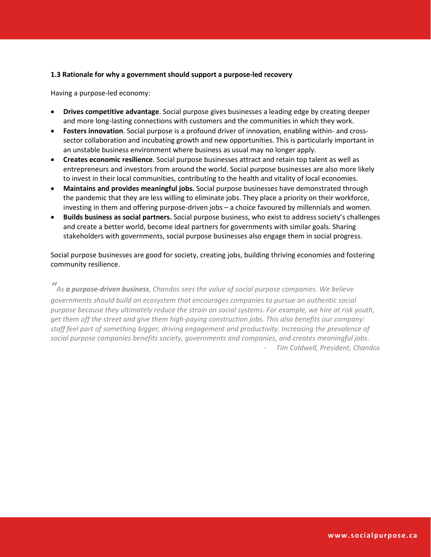#### **1.3 Rationale for why a government should support a purpose-led recovery**

Having a purpose-led economy:

- **Drives competitive advantage**. Social purpose gives businesses a leading edge by creating deeper and more long-lasting connections with customers and the communities in which they work.
- **•** Fosters innovation. Social purpose is a profound driver of innovation, enabling within- and crosssector collaboration and incubating growth and new opportunities. This is particularly important in an unstable business environment where business as usual may no longer apply.
- **Creates economic resilience**. Social purpose businesses attract and retain top talent as well as entrepreneurs and investors from around the world. Social purpose businesses are also more likely to invest in their local communities, contributing to the health and vitality of local economies.
- **Maintains and provides meaningful jobs.** Social purpose businesses have demonstrated through the pandemic that they are less willing to eliminate jobs. They place a priority on their workforce, investing in them and offering purpose-driven jobs – a choice favoured by millennials and women.
- x **Builds business as social partners.** Social purpose business, who exist to address society's challenges and create a better world, become ideal partners for governments with similar goals. Sharing stakeholders with governments, social purpose businesses also engage them in social progress.

Social purpose businesses are good for society, creating jobs, building thriving economies and fostering community resilience.

*" As a purpose-driven business, Chandos sees the value of social purpose companies. We believe governments should build an ecosystem that encourages companies to pursue an authentic social purpose because they ultimately reduce the strain on social systems. For example, we hire at risk youth, get them off the street and give them high-paying construction jobs. This also benefits our company: staff feel part of something bigger, driving engagement and productivity. Increasing the prevalence of social purpose companies benefits society, governments and companies, and creates meaningful jobs.* - *Tim Coldwell, President, Chandos*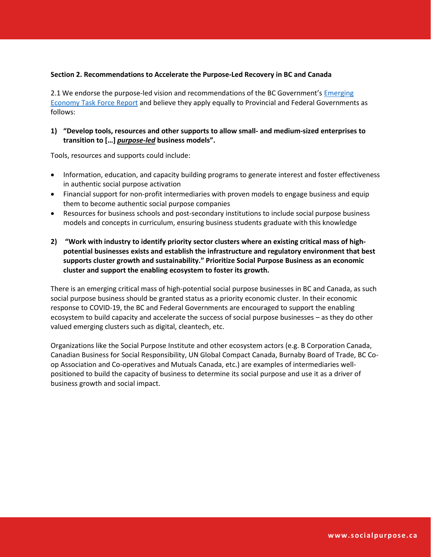#### **Section 2. Recommendations to Accelerate the Purpose-Led Recovery in BC and Canada**

2.1 We endorse the purpose-led vision and recommendations of the BC Government's Emerging Economy Task Force Report and believe they apply equally to Provincial and Federal Governments as follows:

#### **1) "Develop tools, resources and other supports to allow small- and medium-sized enterprises to transition to […]** *purpose-led* **business models".**

Tools, resources and supports could include:

- Information, education, and capacity building programs to generate interest and foster effectiveness in authentic social purpose activation
- Financial support for non-profit intermediaries with proven models to engage business and equip them to become authentic social purpose companies
- Resources for business schools and post-secondary institutions to include social purpose business models and concepts in curriculum, ensuring business students graduate with this knowledge
- **2) "Work with industry to identify priority sector clusters where an existing critical mass of highpotential businesses exists and establish the infrastructure and regulatory environment that best supports cluster growth and sustainability." Prioritize Social Purpose Business as an economic cluster and support the enabling ecosystem to foster its growth.**

There is an emerging critical mass of high-potential social purpose businesses in BC and Canada, as such social purpose business should be granted status as a priority economic cluster. In their economic response to COVID-19, the BC and Federal Governments are encouraged to support the enabling ecosystem to build capacity and accelerate the success of social purpose businesses – as they do other valued emerging clusters such as digital, cleantech, etc.

Organizations like the Social Purpose Institute and other ecosystem actors (e.g. B Corporation Canada, Canadian Business for Social Responsibility, UN Global Compact Canada, Burnaby Board of Trade, BC Coop Association and Co-operatives and Mutuals Canada, etc.) are examples of intermediaries wellpositioned to build the capacity of business to determine its social purpose and use it as a driver of business growth and social impact.